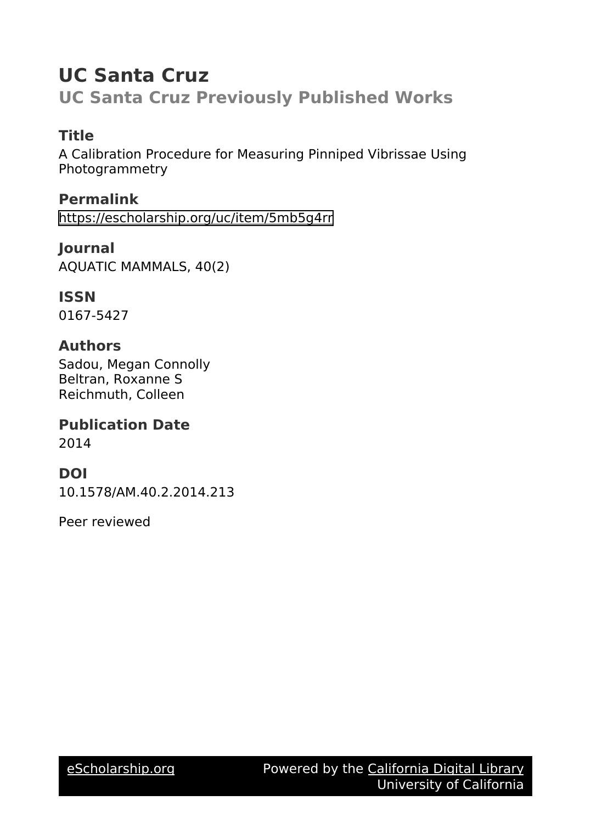# **UC Santa Cruz**

**UC Santa Cruz Previously Published Works**

# **Title**

A Calibration Procedure for Measuring Pinniped Vibrissae Using Photogrammetry

**Permalink** <https://escholarship.org/uc/item/5mb5g4rr>

**Journal** AQUATIC MAMMALS, 40(2)

**ISSN** 0167-5427

## **Authors**

Sadou, Megan Connolly Beltran, Roxanne S Reichmuth, Colleen

### **Publication Date** 2014

## **DOI**

10.1578/AM.40.2.2014.213

Peer reviewed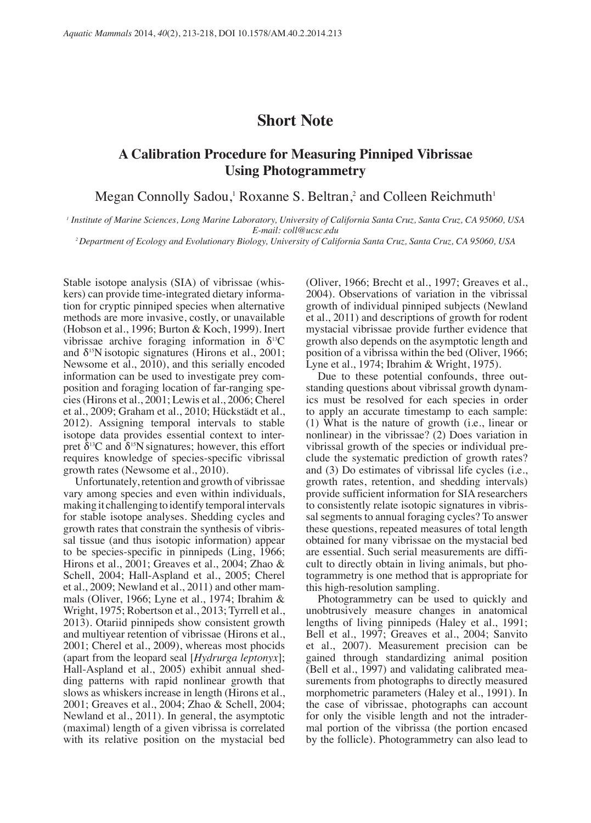#### **Short Note**

#### **A Calibration Procedure for Measuring Pinniped Vibrissae Using Photogrammetry**

Megan Connolly Sadou,<sup>1</sup> Roxanne S. Beltran,<sup>2</sup> and Colleen Reichmuth<sup>1</sup>

*1 Institute of Marine Sciences, Long Marine Laboratory, University of California Santa Cruz, Santa Cruz, CA 95060, USA E-mail: coll@ucsc.edu 2 Department of Ecology and Evolutionary Biology, University of California Santa Cruz, Santa Cruz, CA 95060, USA*

Stable isotope analysis (SIA) of vibrissae (whiskers) can provide time-integrated dietary information for cryptic pinniped species when alternative methods are more invasive, costly, or unavailable (Hobson et al., 1996; Burton & Koch, 1999). Inert vibrissae archive foraging information in  $\delta^{13}$ C and  $\delta^{15}$ N isotopic signatures (Hirons et al., 2001; Newsome et al., 2010), and this serially encoded information can be used to investigate prey composition and foraging location of far-ranging species (Hirons et al., 2001; Lewis et al., 2006; Cherel et al., 2009; Graham et al., 2010; Hückstädt et al., 2012). Assigning temporal intervals to stable isotope data provides essential context to interpret  $\delta^{13}$ C and  $\delta^{15}$ N signatures; however, this effort requires knowledge of species-specific vibrissal growth rates (Newsome et al., 2010).

Unfortunately, retention and growth of vibrissae vary among species and even within individuals, making it challenging to identify temporal intervals for stable isotope analyses. Shedding cycles and growth rates that constrain the synthesis of vibrissal tissue (and thus isotopic information) appear to be species-specific in pinnipeds (Ling, 1966; Hirons et al., 2001; Greaves et al., 2004; Zhao & Schell, 2004; Hall-Aspland et al., 2005; Cherel et al., 2009; Newland et al., 2011) and other mammals (Oliver, 1966; Lyne et al., 1974; Ibrahim & Wright, 1975; Robertson et al., 2013; Tyrrell et al., 2013). Otariid pinnipeds show consistent growth and multiyear retention of vibrissae (Hirons et al., 2001; Cherel et al., 2009), whereas most phocids (apart from the leopard seal [*Hydrurga leptonyx*]; Hall-Aspland et al., 2005) exhibit annual shedding patterns with rapid nonlinear growth that slows as whiskers increase in length (Hirons et al., 2001; Greaves et al., 2004; Zhao & Schell, 2004; Newland et al., 2011). In general, the asymptotic (maximal) length of a given vibrissa is correlated with its relative position on the mystacial bed

(Oliver, 1966; Brecht et al., 1997; Greaves et al., 2004). Observations of variation in the vibrissal growth of individual pinniped subjects (Newland et al., 2011) and descriptions of growth for rodent mystacial vibrissae provide further evidence that growth also depends on the asymptotic length and position of a vibrissa within the bed (Oliver, 1966; Lyne et al., 1974; Ibrahim & Wright, 1975).

Due to these potential confounds, three outstanding questions about vibrissal growth dynamics must be resolved for each species in order to apply an accurate timestamp to each sample: (1) What is the nature of growth (i.e., linear or nonlinear) in the vibrissae? (2) Does variation in vibrissal growth of the species or individual preclude the systematic prediction of growth rates? and (3) Do estimates of vibrissal life cycles (i.e., growth rates, retention, and shedding intervals) provide sufficient information for SIA researchers to consistently relate isotopic signatures in vibrissal segments to annual foraging cycles? To answer these questions, repeated measures of total length obtained for many vibrissae on the mystacial bed are essential. Such serial measurements are difficult to directly obtain in living animals, but photogrammetry is one method that is appropriate for this high-resolution sampling.

Photogrammetry can be used to quickly and unobtrusively measure changes in anatomical lengths of living pinnipeds (Haley et al., 1991; Bell et al., 1997; Greaves et al., 2004; Sanvito et al., 2007). Measurement precision can be gained through standardizing animal position (Bell et al., 1997) and validating calibrated measurements from photographs to directly measured morphometric parameters (Haley et al., 1991). In the case of vibrissae, photographs can account for only the visible length and not the intradermal portion of the vibrissa (the portion encased by the follicle). Photogrammetry can also lead to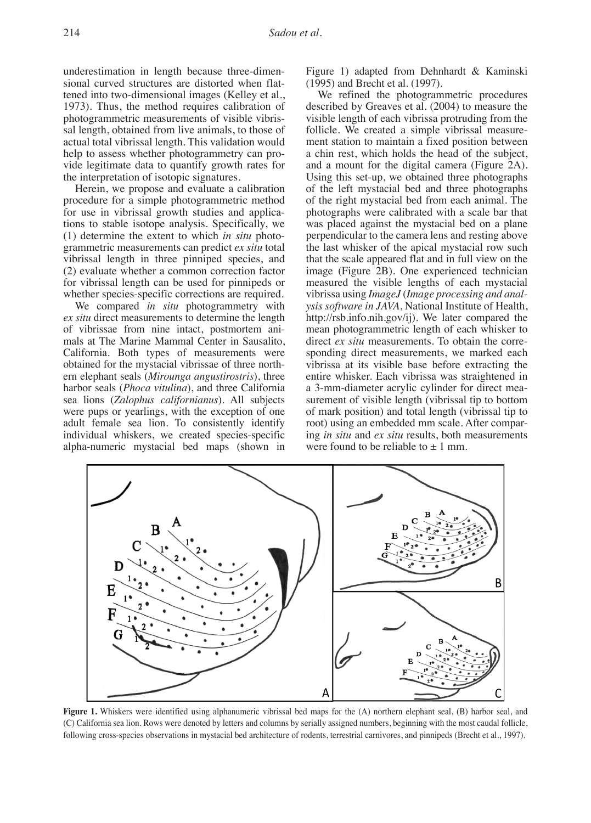underestimation in length because three-dimensional curved structures are distorted when flattened into two-dimensional images (Kelley et al., 1973). Thus, the method requires calibration of photogrammetric measurements of visible vibrissal length, obtained from live animals, to those of actual total vibrissal length. This validation would help to assess whether photogrammetry can provide legitimate data to quantify growth rates for the interpretation of isotopic signatures.

Herein, we propose and evaluate a calibration procedure for a simple photogrammetric method for use in vibrissal growth studies and applications to stable isotope analysis. Specifically, we (1) determine the extent to which *in situ* photogrammetric measurements can predict *ex situ* total vibrissal length in three pinniped species, and (2) evaluate whether a common correction factor for vibrissal length can be used for pinnipeds or whether species-specific corrections are required.

We compared *in situ* photogrammetry with *ex situ* direct measurements to determine the length of vibrissae from nine intact, postmortem animals at The Marine Mammal Center in Sausalito, California. Both types of measurements were obtained for the mystacial vibrissae of three northern elephant seals (*Mirounga angustirostris*), three harbor seals (*Phoca vitulina*), and three California sea lions (*Zalophus californianus*). All subjects were pups or yearlings, with the exception of one adult female sea lion. To consistently identify individual whiskers, we created species-specific alpha-numeric mystacial bed maps (shown in

Figure 1) adapted from Dehnhardt & Kaminski (1995) and Brecht et al. (1997).

We refined the photogrammetric procedures described by Greaves et al. (2004) to measure the visible length of each vibrissa protruding from the follicle. We created a simple vibrissal measurement station to maintain a fixed position between a chin rest, which holds the head of the subject, and a mount for the digital camera (Figure 2A). Using this set-up, we obtained three photographs of the left mystacial bed and three photographs of the right mystacial bed from each animal. The photographs were calibrated with a scale bar that was placed against the mystacial bed on a plane perpendicular to the camera lens and resting above the last whisker of the apical mystacial row such that the scale appeared flat and in full view on the image (Figure 2B). One experienced technician measured the visible lengths of each mystacial vibrissa using *ImageJ* (*Image processing and analysis software in JAVA*, National Institute of Health, http://rsb.info.nih.gov/ij). We later compared the mean photogrammetric length of each whisker to direct *ex situ* measurements. To obtain the corresponding direct measurements, we marked each vibrissa at its visible base before extracting the entire whisker. Each vibrissa was straightened in a 3-mm-diameter acrylic cylinder for direct measurement of visible length (vibrissal tip to bottom of mark position) and total length (vibrissal tip to root) using an embedded mm scale. After comparing *in situ* and *ex situ* results, both measurements were found to be reliable to  $\pm$  1 mm.



**Figure 1.** Whiskers were identified using alphanumeric vibrissal bed maps for the (A) northern elephant seal, (B) harbor seal, and (C) California sea lion. Rows were denoted by letters and columns by serially assigned numbers, beginning with the most caudal follicle, following cross-species observations in mystacial bed architecture of rodents, terrestrial carnivores, and pinnipeds (Brecht et al., 1997).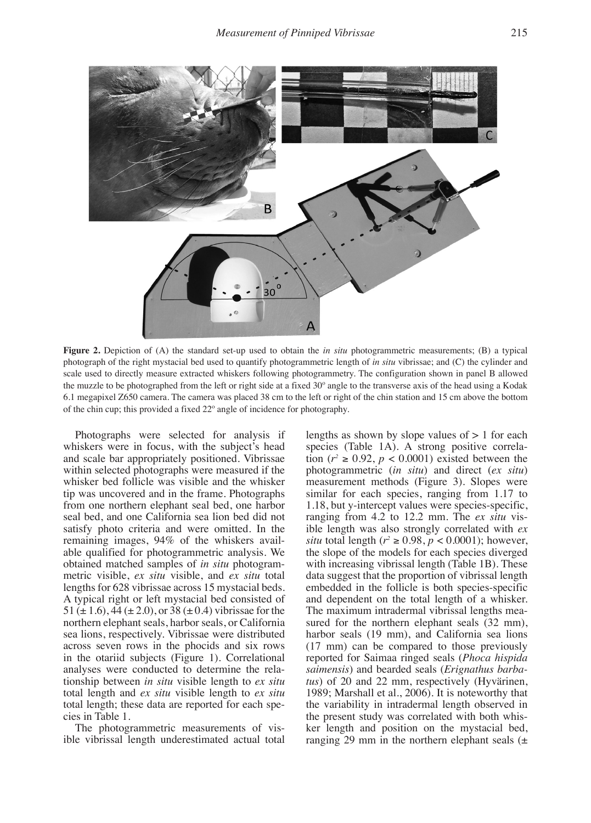

**Figure 2.** Depiction of (A) the standard set-up used to obtain the *in situ* photogrammetric measurements; (B) a typical photograph of the right mystacial bed used to quantify photogrammetric length of *in situ* vibrissae; and (C) the cylinder and scale used to directly measure extracted whiskers following photogrammetry. The configuration shown in panel B allowed the muzzle to be photographed from the left or right side at a fixed 30º angle to the transverse axis of the head using a Kodak 6.1 megapixel Z650 camera. The camera was placed 38 cm to the left or right of the chin station and 15 cm above the bottom of the chin cup; this provided a fixed 22º angle of incidence for photography.

Photographs were selected for analysis if whiskers were in focus, with the subject's head and scale bar appropriately positioned. Vibrissae within selected photographs were measured if the whisker bed follicle was visible and the whisker tip was uncovered and in the frame. Photographs from one northern elephant seal bed, one harbor seal bed, and one California sea lion bed did not satisfy photo criteria and were omitted. In the remaining images, 94% of the whiskers available qualified for photogrammetric analysis. We obtained matched samples of *in situ* photogrammetric visible, *ex situ* visible, and *ex situ* total lengths for 628 vibrissae across 15 mystacial beds. A typical right or left mystacial bed consisted of 51 ( $\pm$  1.6), 44 ( $\pm$  2.0), or 38 ( $\pm$  0.4) vibrissae for the northern elephant seals, harbor seals, or California sea lions, respectively. Vibrissae were distributed across seven rows in the phocids and six rows in the otariid subjects (Figure 1). Correlational analyses were conducted to determine the relationship between *in situ* visible length to *ex situ* total length and *ex situ* visible length to *ex situ* total length; these data are reported for each species in Table 1.

The photogrammetric measurements of visible vibrissal length underestimated actual total lengths as shown by slope values of  $> 1$  for each species (Table 1A). A strong positive correlation ( $r^2 \ge 0.92$ ,  $p < 0.0001$ ) existed between the photogrammetric (*in situ*) and direct (*ex situ*) measurement methods (Figure 3). Slopes were similar for each species, ranging from 1.17 to 1.18, but y-intercept values were species-specific, ranging from 4.2 to 12.2 mm. The *ex situ* visible length was also strongly correlated with *ex situ* total length ( $r^2 \ge 0.98$ ,  $p < 0.0001$ ); however, the slope of the models for each species diverged with increasing vibrissal length (Table 1B). These data suggest that the proportion of vibrissal length embedded in the follicle is both species-specific and dependent on the total length of a whisker. The maximum intradermal vibrissal lengths measured for the northern elephant seals  $(32 \text{ mm})$ , harbor seals (19 mm), and California sea lions (17 mm) can be compared to those previously reported for Saimaa ringed seals (*Phoca hispida saimensis*) and bearded seals (*Erignathus barbatus*) of 20 and 22 mm, respectively (Hyvärinen, 1989; Marshall et al., 2006). It is noteworthy that the variability in intradermal length observed in the present study was correlated with both whisker length and position on the mystacial bed, ranging 29 mm in the northern elephant seals  $(\pm)$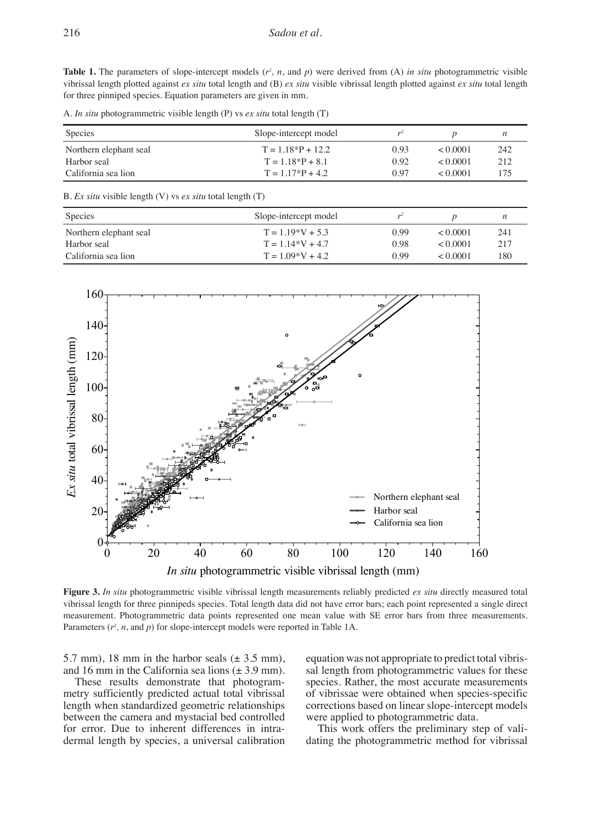**Table 1.** The parameters of slope-intercept models  $(r^2, n, \text{ and } p)$  were derived from  $(A)$  *in situ* photogrammetric visible vibrissal length plotted against *ex situ* total length and (B) *ex situ* visible vibrissal length plotted against *ex situ* total length for three pinniped species. Equation parameters are given in mm.

A. *In situ* photogrammetric visible length (P) vs *ex situ* total length (T)

| Species                | Slope-intercept model | $r^2$ |               |      |
|------------------------|-----------------------|-------|---------------|------|
| Northern elephant seal | $T = 1.18*P + 12.2$   | 0.93  | $\leq 0.0001$ | 242  |
| Harbor seal            | $T = 1.18*P + 8.1$    | 0.92  | $\leq 0.0001$ | 2.12 |
| California sea lion    | $T = 1.17*P + 4.2$    | 0.97  | < 0.0001      | 175  |

B. *Ex situ* visible length (V) vs *ex situ* total length (T)

| Species                | Slope-intercept model |      |               |     |
|------------------------|-----------------------|------|---------------|-----|
| Northern elephant seal | $T = 1.19*V + 5.3$    | 0.99 | $\leq 0.0001$ | 241 |
| Harbor seal            | $T = 1.14*V + 4.7$    | 0.98 | $\leq 0.0001$ | 217 |
| California sea lion    | $T = 1.09*V + 4.2$    | 0.99 | $\leq 0.0001$ | 180 |



**Figure 3.** *In situ* photogrammetric visible vibrissal length measurements reliably predicted *ex situ* directly measured total vibrissal length for three pinnipeds species. Total length data did not have error bars; each point represented a single direct measurement. Photogrammetric data points represented one mean value with SE error bars from three measurements. Parameters  $(r^2, n, \text{ and } p)$  for slope-intercept models were reported in Table 1A.

5.7 mm), 18 mm in the harbor seals  $(\pm 3.5 \text{ mm})$ , and 16 mm in the California sea lions  $(\pm 3.9 \text{ mm})$ .

These results demonstrate that photogrammetry sufficiently predicted actual total vibrissal length when standardized geometric relationships between the camera and mystacial bed controlled for error. Due to inherent differences in intradermal length by species, a universal calibration equation was not appropriate to predict total vibrissal length from photogrammetric values for these species. Rather, the most accurate measurements of vibrissae were obtained when species-specific corrections based on linear slope-intercept models were applied to photogrammetric data.

This work offers the preliminary step of validating the photogrammetric method for vibrissal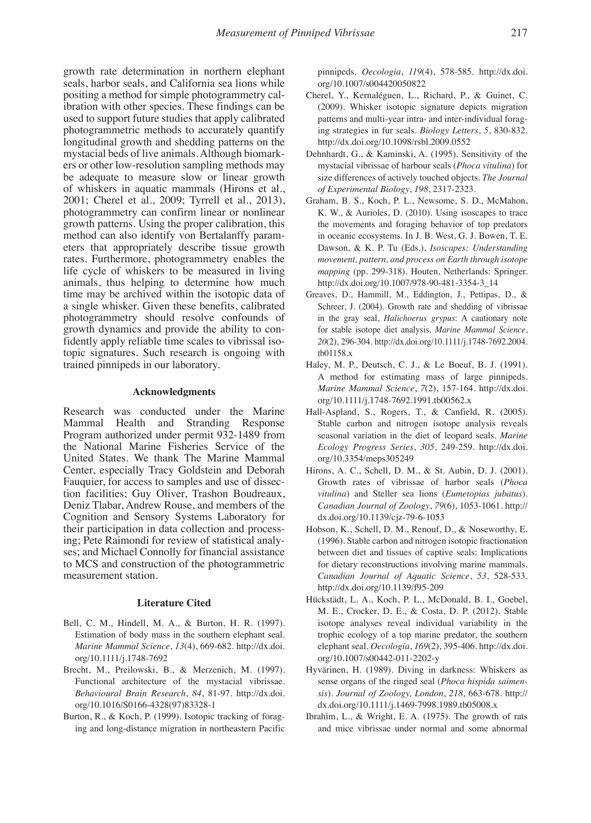growth rate determination in northern elephant seals, harbor seals, and California sea lions while positing a method for simple photogrammetry calibration with other species. These findings can be used to support future studies that apply calibrated photogrammetric methods to accurately quantify longitudinal growth and shedding patterns on the mystacial beds of live animals. Although biomarkers or other low-resolution sampling methods may be adequate to measure slow or linear growth of whiskers in aquatic mammals (Hirons et al., 2001; Cherel et al., 2009; Tyrrell et al., 2013), photogrammetry can confirm linear or nonlinear growth patterns. Using the proper calibration, this method can also identify von Bertalanffy parameters that appropriately describe tissue growth rates. Furthermore, photogrammetry enables the life cycle of whiskers to be measured in living animals, thus helping to determine how much time may be archived within the isotopic data of a single whisker. Given these benefits, calibrated photogrammetry should resolve confounds of growth dynamics and provide the ability to confidently apply reliable time scales to vibrissal isotopic signatures. Such research is ongoing with trained pinnipeds in our laboratory.

#### **Acknowledgments**

Research was conducted under the Marine Mammal Health and Stranding Response Program authorized under permit 932-1489 from the National Marine Fisheries Service of the United States. We thank The Marine Mammal Center, especially Tracy Goldstein and Deborah Fauquier, for access to samples and use of dissection facilities; Guy Oliver, Trashon Boudreaux, Deniz Tlabar, Andrew Rouse, and members of the Cognition and Sensory Systems Laboratory for their participation in data collection and processing; Pete Raimondi for review of statistical analyses; and Michael Connolly for financial assistance to MCS and construction of the photogrammetric measurement station.

#### **Literature Cited**

- Bell, C. M., Hindell, M. A., & Burton, H. R. (1997). Estimation of body mass in the southern elephant seal. *Marine Mammal Science*, *13*(4), 669-682. http://dx.doi. org/10.1111/j.1748-7692
- Brecht, M., Preilowski, B., & Merzenich, M. (1997). Functional architecture of the mystacial vibrissae. *Behavioural Brain Research*, *84*, 81-97. http://dx.doi. org/10.1016/S0166-4328(97)83328-1
- Burton, R., & Koch, P. (1999). Isotopic tracking of foraging and long-distance migration in northeastern Pacific

pinnipeds. *Oecologia*, *119*(4), 578-585. http://dx.doi. org/10.1007/s004420050822

- Cherel, Y., Kernaléguen, L., Richard, P., & Guinet, C. (2009). Whisker isotopic signature depicts migration patterns and multi-year intra- and inter-individual foraging strategies in fur seals. *Biology Letters*, *5*, 830-832. http://dx.doi.org/10.1098/rsbl.2009.0552
- Dehnhardt, G., & Kaminski, A. (1995). Sensitivity of the mystacial vibrissae of harbour seals (*Phoca vitulina*) for size differences of actively touched objects. *The Journal of Experimental Biology*, *198*, 2317-2323.
- Graham, B. S., Koch, P. L., Newsome, S. D., McMahon, K. W., & Aurioles, D. (2010). Using isoscapes to trace the movements and foraging behavior of top predators in oceanic ecosystems. In J. B. West, G. J. Bowen, T. E. Dawson, & K. P. Tu (Eds.), *Isoscapes: Understanding movement, pattern, and process on Earth through isotope mapping* (pp. 299-318). Houten, Netherlands: Springer. http://dx.doi.org/10.1007/978-90-481-3354-3\_14
- Greaves, D., Hammill, M., Eddington, J., Pettipas, D., & Schreer, J. (2004). Growth rate and shedding of vibrissae in the gray seal, *Halichoerus grypus*: A cautionary note for stable isotope diet analysis. *Marine Mammal Science*, *20*(2), 296-304. http://dx.doi.org/10.1111/j.1748-7692.2004. tb01158.x
- Haley, M. P., Deutsch, C. J., & Le Boeuf, B. J. (1991). A method for estimating mass of large pinnipeds. *Marine Mammal Science*, *7*(2), 157-164. http://dx.doi. org/10.1111/j.1748-7692.1991.tb00562.x
- Hall-Aspland, S., Rogers, T., & Canfield, R. (2005). Stable carbon and nitrogen isotope analysis reveals seasonal variation in the diet of leopard seals. *Marine Ecology Progress Series*, *305*, 249-259. http://dx.doi. org/10.3354/meps305249
- Hirons, A. C., Schell, D. M., & St. Aubin, D. J. (2001). Growth rates of vibrissae of harbor seals (*Phoca vitulina*) and Steller sea lions (*Eumetopias jubatus*). *Canadian Journal of Zoology*, *79*(6), 1053-1061. http:// dx.doi.org/10.1139/cjz-79-6-1053
- Hobson, K., Schell, D. M., Renouf, D., & Noseworthy, E. (1996). Stable carbon and nitrogen isotopic fractionation between diet and tissues of captive seals: Implications for dietary reconstructions involving marine mammals. *Canadian Journal of Aquatic Science*, *53*, 528-533. http://dx.doi.org/10.1139/f95-209
- Hückstädt, L. A., Koch, P. L., McDonald, B. I., Goebel, M. E., Crocker, D. E., & Costa, D. P. (2012). Stable isotope analyses reveal individual variability in the trophic ecology of a top marine predator, the southern elephant seal. *Oecologia*, *169*(2), 395-406. http://dx.doi. org/10.1007/s00442-011-2202-y
- Hyvärinen, H. (1989). Diving in darkness: Whiskers as sense organs of the ringed seal (*Phoca hispida saimensis*). *Journal of Zoology, London*, *218*, 663-678. http:// dx.doi.org/10.1111/j.1469-7998.1989.tb05008.x
- Ibrahim, L., & Wright, E. A. (1975). The growth of rats and mice vibrissae under normal and some abnormal